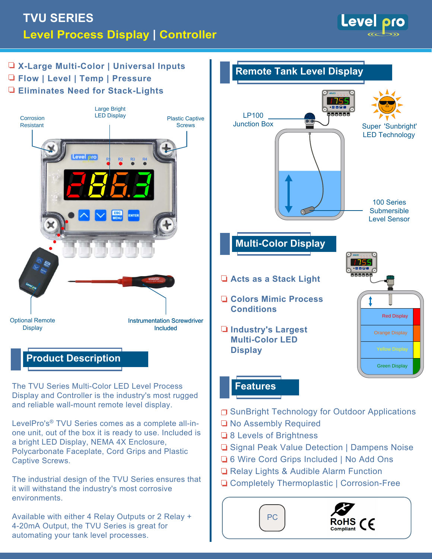# **TVU SERIES Level Process Display | Controller**



**X-Large Multi-Color | Universal Inputs Remote Tank Level Display Flow | Level | Temp | Pressure Eliminates Need for Stack-Lights** Large Bright<br>LED Display **MENU ESC ENTER** aaaaa LP100 Corrosion Plastic Captive Junction Box Resistant **Screws** Super 'Sunbright' LED Technology 100 Series **Submersible** ര്. Level Sensor **Multi-Color Display Acts as a Stack Light Colors Mimic Process Conditions** Red Display Optional Remote Instrumentation Screwdriver **Display** Included **Industry's Largest**  Orange Display **Multi-Color LED DisplayProduct Description** Green Display **Features** The TVU Series Multi-Color LED Level Process Display and Controller is the industry's most rugged and reliable wall-mount remote level display. **□ SunBright Technology for Outdoor Applications** LevelPro's® TVU Series comes as a complete all-in-No Assembly Required one unit, out of the box it is ready to use. Included is **■ 8 Levels of Brightness** a bright LED Display, NEMA 4X Enclosure, **□ Signal Peak Value Detection | Dampens Noise** Polycarbonate Faceplate, Cord Grips and Plastic **■6 Wire Cord Grips Included | No Add Ons** Captive Screws. Relay Lights & Audible Alarm Function The industrial design of the TVU Series ensures that □ Completely Thermoplastic | Corrosion-Free it will withstand the industry's most corrosive environments. Available with either 4 Relay Outputs or 2 Relay + PC RoHS  $\mathcal{C}\epsilon$ 4-20mA Output, the TVU Series is great for Compliant automating your tank level processes.